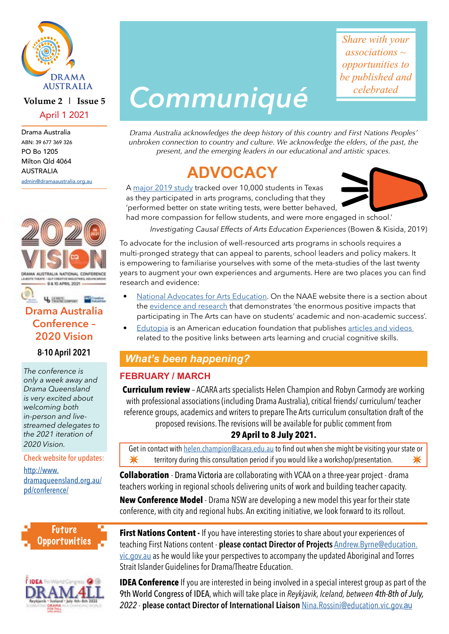

#### **Volume 2 | Issue 5** April 1 2021

Drama Australia ABN: 39 677 369 326 PO Bo 1205 Milton Qld 4064 AUSTRALIA

[admin@dramaaustralia.org.au](mailto:admin%40dramaaustralia.org.au?subject=)



#### 4 Hartmann Martin **Drama Australia Conference – 2020 Vision**

#### **8-10 April 2021**

*The conference is only a week away and Drama Queensland is very excited about welcoming both in-person and livestreamed delegates to the 2021 iteration of 2020 Vision.*

#### Check website for updates:

[http://www.](http://www.dramaqueensland.org.au/pd/conference/) [dramaqueensland.org.au/](http://www.dramaqueensland.org.au/pd/conference/) [pd/conference/](http://www.dramaqueensland.org.au/pd/conference/)





# *Communiqué*

*Share with your associations ~ opportunities to be published and celebrated*

*Drama Australia acknowledges the deep history of this country and First Nations Peoples' unbroken connection to country and culture. We acknowledge the elders, of the past, the present, and the emerging leaders in our educational and artistic spaces.*

# **ADVOCACY**

A [major 2019 study](https://kinder.rice.edu/sites/default/files/documents/Investigating%20Causal%20Effects%20of%20Arts%20Education%20Experiences%20Final_0.pdf) tracked over 10,000 students in Texas as they participated in arts programs, concluding that they 'performed better on state writing tests, were better behaved, had more compassion for fellow students, and were more engaged in school.'



*Investigating Causal Effects of Arts Education Experiences* (Bowen & Kisida, 2019)

To advocate for the inclusion of well-resourced arts programs in schools requires a multi-pronged strategy that can appeal to parents, school leaders and policy makers. It is empowering to familiarise yourselves with some of the meta-studies of the last twenty years to augment your own experiences and arguments. Here are two places you can find research and evidence:

- [National Advocates for Arts Education](https://naae.org.au/about). On the NAAE website there is a section about the [evidence and research](https://naae.org.au/evidence-and-research) that demonstrates 'the enormous positive impacts that participating in The Arts can have on students' academic and non-academic success'.
	- **Edutopia** is an American education foundation that publishes articles and videos related to the positive links between arts learning and crucial cognitive skills.

## *What's been happening?*

#### **FEBRUARY / MARCH**

**Curriculum review** – ACARA arts specialists Helen Champion and Robyn Carmody are working with professional associations (including Drama Australia), critical friends/ curriculum/ teacher reference groups, academics and writers to prepare The Arts curriculum consultation draft of the proposed revisions. The revisions will be available for public comment from

#### **29 April to 8 July 2021.**

Get in contact with [helen.champion@acara.edu.au](mailto:helen.champion%40acara.edu.au?subject=Curriculum%20review%20-%20ACARA%20consultation) to find out when she might be visiting your state or **<u><sup>★</sup> ★ territory during this consultation period if you would like a workshop/presentation. ★**</u>

**Collaboration** - Drama Victoria are collaborating with VCAA on a three-year project - drama teachers working in regional schools delivering units of work and building teacher capacity.

**New Conference Model** - Drama NSW are developing a new model this year for their state conference, with city and regional hubs. An exciting initiative, we look forward to its rollout.

**First Nations Content - If you have interesting stories to share about your experiences of** teaching First Nations content - **please contact Director of Projects** [Andrew.Byrne@education.](mailto:Andrew.Byrne%40education.vic.gov.au?subject=) [vic.gov.au](mailto:Andrew.Byrne%40education.vic.gov.au?subject=) as he would like your perspectives to accompany the updated Aboriginal and Torres Strait Islander Guidelines for Drama/Theatre Education.

**IDEA Conference** If you are interested in being involved in a special interest group as part of the 9th World Congress of IDEA, which will take place in *Reykjavik, Iceland, between 4th-8th of July, 2022* - **please contact Director of International Liaison** [Nina.Rossini@education.vic.gov.](mailto:Nina.Rossini%40education.vic.gov.au%20?subject=)au